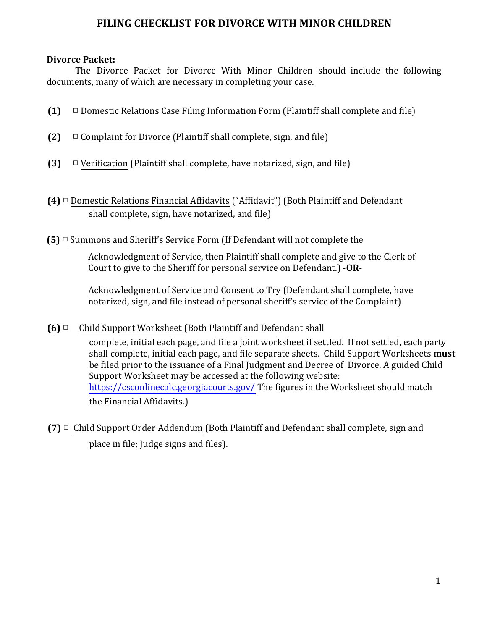## **FILING CHECKLIST FOR DIVORCE WITH MINOR CHILDREN**

## **Divorce Packet:**

The Divorce Packet for Divorce With Minor Children should include the following documents, many of which are necessary in completing your case.

- **(1)**  $\Box$  Domestic Relations Case Filing Information Form (Plaintiff shall complete and file)
- **(2)**  $\Box$  Complaint for Divorce (Plaintiff shall complete, sign, and file)
- **(3)**  $\Box$  Verification (Plaintiff shall complete, have notarized, sign, and file)
- **(4)** □ Domestic Relations Financial Affidavits ("Affidavit") (Both Plaintiff and Defendant shall complete, sign, have notarized, and file)
- **(5)**  $\Box$  Summons and Sheriff's Service Form (If Defendant will not complete the

Acknowledgment of Service, then Plaintiff shall complete and give to the Clerk of Court to give to the Sheriff for personal service on Defendant.) -OR-

Acknowledgment of Service and Consent to Try (Defendant shall complete, have notarized, sign, and file instead of personal sheriff's service of the Complaint)

**(6)** □ Child Support Worksheet (Both Plaintiff and Defendant shall

complete, initial each page, and file a joint worksheet if settled. If not settled, each party shall complete, initial each page, and file separate sheets. Child Support Worksheets **must** be filed prior to the issuance of a Final Judgment and Decree of Divorce. A guided Child Support Worksheet may be accessed at the following website: https://csconlinecalc.georgiacourts.gov/ The figures in the Worksheet should match the Financial Affidavits.)

**(7)** □ Child Support Order Addendum (Both Plaintiff and Defendant shall complete, sign and place in file; Judge signs and files).